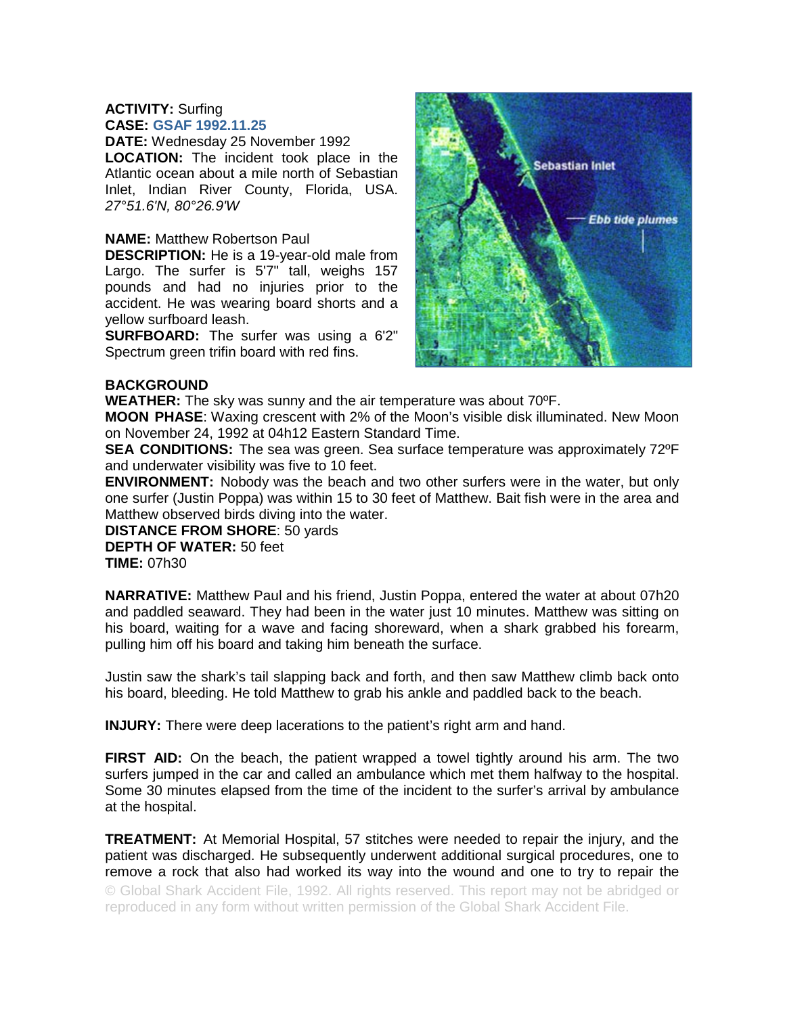## **ACTIVITY:** Surfing **CASE: GSAF 1992.11.25**

**DATE:** Wednesday 25 November 1992 **LOCATION:** The incident took place in the Atlantic ocean about a mile north of Sebastian Inlet, Indian River County, Florida, USA. *27°51.6'N, 80°26.9'W* 

# **NAME:** Matthew Robertson Paul

**DESCRIPTION:** He is a 19-year-old male from Largo. The surfer is 5'7" tall, weighs 157 pounds and had no injuries prior to the accident. He was wearing board shorts and a yellow surfboard leash.

**SURFBOARD:** The surfer was using a 6'2" Spectrum green trifin board with red fins.



# **BACKGROUND**

**WEATHER:** The sky was sunny and the air temperature was about 70ºF.

**MOON PHASE**: Waxing crescent with 2% of the Moon's visible disk illuminated. New Moon on November 24, 1992 at 04h12 Eastern Standard Time.

**SEA CONDITIONS:** The sea was green. Sea surface temperature was approximately 72ºF and underwater visibility was five to 10 feet.

**ENVIRONMENT:** Nobody was the beach and two other surfers were in the water, but only one surfer (Justin Poppa) was within 15 to 30 feet of Matthew. Bait fish were in the area and Matthew observed birds diving into the water.

**DISTANCE FROM SHORE**: 50 yards **DEPTH OF WATER:** 50 feet **TIME:** 07h30

**NARRATIVE:** Matthew Paul and his friend, Justin Poppa, entered the water at about 07h20 and paddled seaward. They had been in the water just 10 minutes. Matthew was sitting on his board, waiting for a wave and facing shoreward, when a shark grabbed his forearm, pulling him off his board and taking him beneath the surface.

Justin saw the shark's tail slapping back and forth, and then saw Matthew climb back onto his board, bleeding. He told Matthew to grab his ankle and paddled back to the beach.

**INJURY:** There were deep lacerations to the patient's right arm and hand.

**FIRST AID:** On the beach, the patient wrapped a towel tightly around his arm. The two surfers jumped in the car and called an ambulance which met them halfway to the hospital. Some 30 minutes elapsed from the time of the incident to the surfer's arrival by ambulance at the hospital.

**TREATMENT:** At Memorial Hospital, 57 stitches were needed to repair the injury, and the patient was discharged. He subsequently underwent additional surgical procedures, one to remove a rock that also had worked its way into the wound and one to try to repair the © Global Shark Accident File, 1992. All rights reserved. This report may not be abridged or reproduced in any form without written permission of the Global Shark Accident File.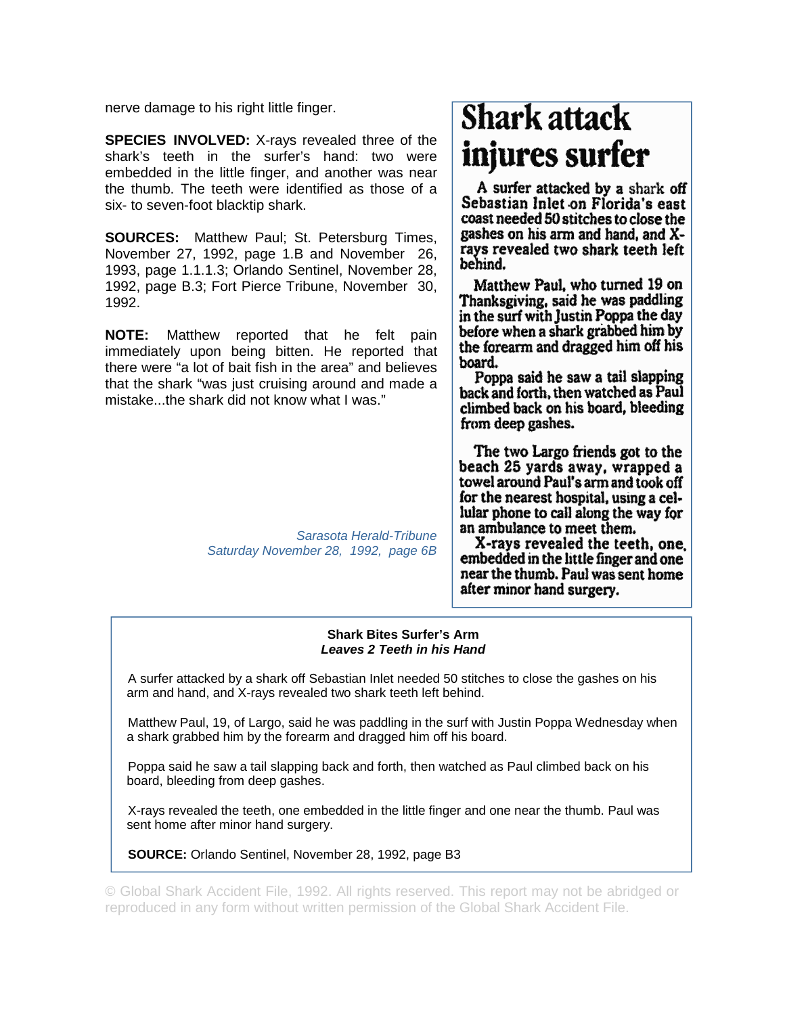nerve damage to his right little finger.

**SPECIES INVOLVED:** X-rays revealed three of the shark's teeth in the surfer's hand: two were embedded in the little finger, and another was near the thumb. The teeth were identified as those of a six- to seven-foot blacktip shark.

**SOURCES:** Matthew Paul; St. Petersburg Times, November 27, 1992, page 1.B and November 26, 1993, page 1.1.1.3; Orlando Sentinel, November 28, 1992, page B.3; Fort Pierce Tribune, November 30, 1992.

**NOTE:** Matthew reported that he felt pain immediately upon being bitten. He reported that there were "a lot of bait fish in the area" and believes that the shark "was just cruising around and made a mistake...the shark did not know what I was."

> *Sarasota Herald-Tribune Saturday November 28, 1992, page 6B*

# **Shark attack** injures surfer

A surfer attacked by a shark off Sebastian Inlet on Florida's east coast needed 50 stitches to close the gashes on his arm and hand, and Xrays revealed two shark teeth left behind.

Matthew Paul, who turned 19 on Thanksgiving, said he was paddling in the surf with Justin Poppa the day before when a shark grabbed him by the forearm and dragged him off his board.

Poppa said he saw a tail slapping back and forth, then watched as Paul climbed back on his board, bleeding from deep gashes.

The two Largo friends got to the beach 25 yards away, wrapped a towel around Paul's arm and took off for the nearest hospital, using a cellular phone to call along the way for an ambulance to meet them.

X-rays revealed the teeth, one embedded in the little finger and one near the thumb. Paul was sent home after minor hand surgery.

## **Shark Bites Surfer's Arm**  *Leaves 2 Teeth in his Hand*

A surfer attacked by a shark off Sebastian Inlet needed 50 stitches to close the gashes on his arm and hand, and X-rays revealed two shark teeth left behind.

Matthew Paul, 19, of Largo, said he was paddling in the surf with Justin Poppa Wednesday when a shark grabbed him by the forearm and dragged him off his board.

Poppa said he saw a tail slapping back and forth, then watched as Paul climbed back on his board, bleeding from deep gashes.

X-rays revealed the teeth, one embedded in the little finger and one near the thumb. Paul was sent home after minor hand surgery.

**SOURCE:** Orlando Sentinel, November 28, 1992, page B3

© Global Shark Accident File, 1992. All rights reserved. This report may not be abridged or reproduced in any form without written permission of the Global Shark Accident File.